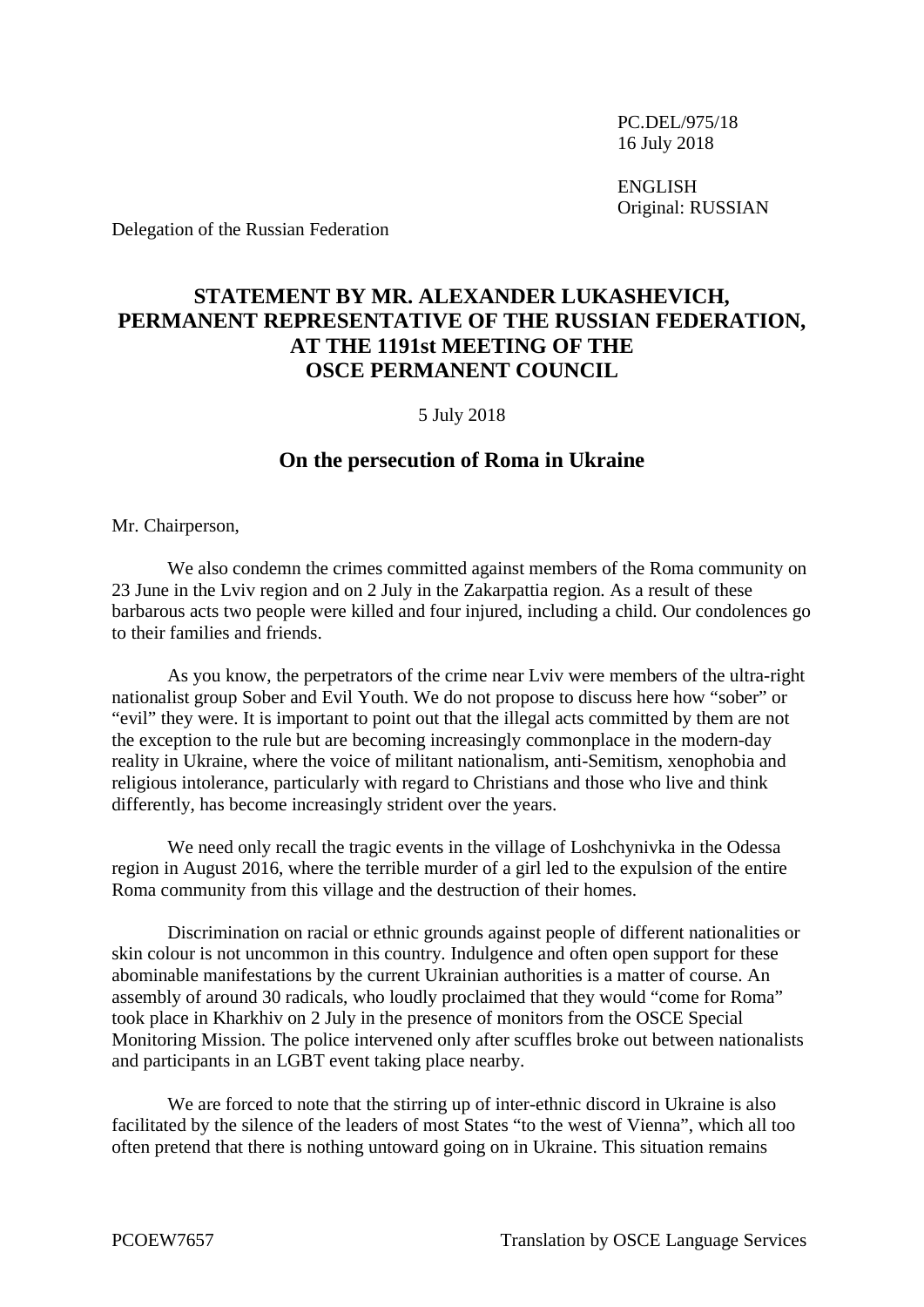PC.DEL/975/18 16 July 2018

ENGLISH Original: RUSSIAN

Delegation of the Russian Federation

## **STATEMENT BY MR. ALEXANDER LUKASHEVICH, PERMANENT REPRESENTATIVE OF THE RUSSIAN FEDERATION, AT THE 1191st MEETING OF THE OSCE PERMANENT COUNCIL**

5 July 2018

## **On the persecution of Roma in Ukraine**

Mr. Chairperson,

We also condemn the crimes committed against members of the Roma community on 23 June in the Lviv region and on 2 July in the Zakarpattia region. As a result of these barbarous acts two people were killed and four injured, including a child. Our condolences go to their families and friends.

As you know, the perpetrators of the crime near Lviv were members of the ultra-right nationalist group Sober and Evil Youth. We do not propose to discuss here how "sober" or "evil" they were. It is important to point out that the illegal acts committed by them are not the exception to the rule but are becoming increasingly commonplace in the modern-day reality in Ukraine, where the voice of militant nationalism, anti-Semitism, xenophobia and religious intolerance, particularly with regard to Christians and those who live and think differently, has become increasingly strident over the years.

We need only recall the tragic events in the village of Loshchynivka in the Odessa region in August 2016, where the terrible murder of a girl led to the expulsion of the entire Roma community from this village and the destruction of their homes.

Discrimination on racial or ethnic grounds against people of different nationalities or skin colour is not uncommon in this country. Indulgence and often open support for these abominable manifestations by the current Ukrainian authorities is a matter of course. An assembly of around 30 radicals, who loudly proclaimed that they would "come for Roma" took place in Kharkhiv on 2 July in the presence of monitors from the OSCE Special Monitoring Mission. The police intervened only after scuffles broke out between nationalists and participants in an LGBT event taking place nearby.

We are forced to note that the stirring up of inter-ethnic discord in Ukraine is also facilitated by the silence of the leaders of most States "to the west of Vienna", which all too often pretend that there is nothing untoward going on in Ukraine. This situation remains